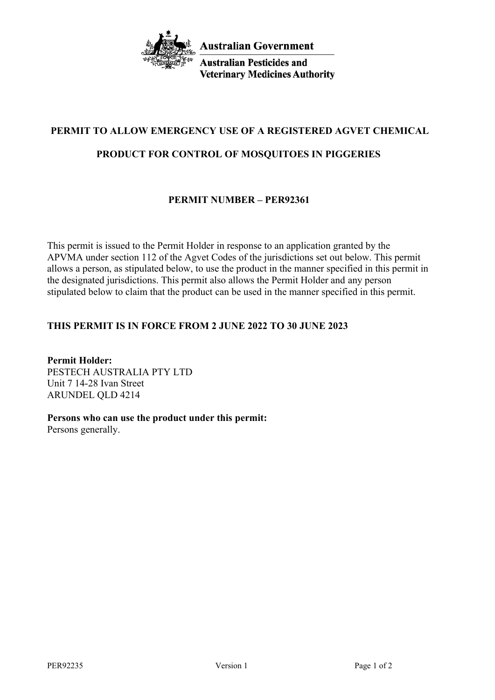

**Australian Pesticides and Veterinary Medicines Authority** 

# **PERMIT TO ALLOW EMERGENCY USE OF A REGISTERED AGVET CHEMICAL**

## **PRODUCT FOR CONTROL OF MOSQUITOES IN PIGGERIES**

# **PERMIT NUMBER – PER92361**

This permit is issued to the Permit Holder in response to an application granted by the APVMA under section 112 of the Agvet Codes of the jurisdictions set out below. This permit allows a person, as stipulated below, to use the product in the manner specified in this permit in the designated jurisdictions. This permit also allows the Permit Holder and any person stipulated below to claim that the product can be used in the manner specified in this permit.

## **THIS PERMIT IS IN FORCE FROM 2 JUNE 2022 TO 30 JUNE 2023**

**Permit Holder:** PESTECH AUSTRALIA PTY LTD Unit 7 14-28 Ivan Street ARUNDEL QLD 4214

# **Persons who can use the product under this permit:**

Persons generally.